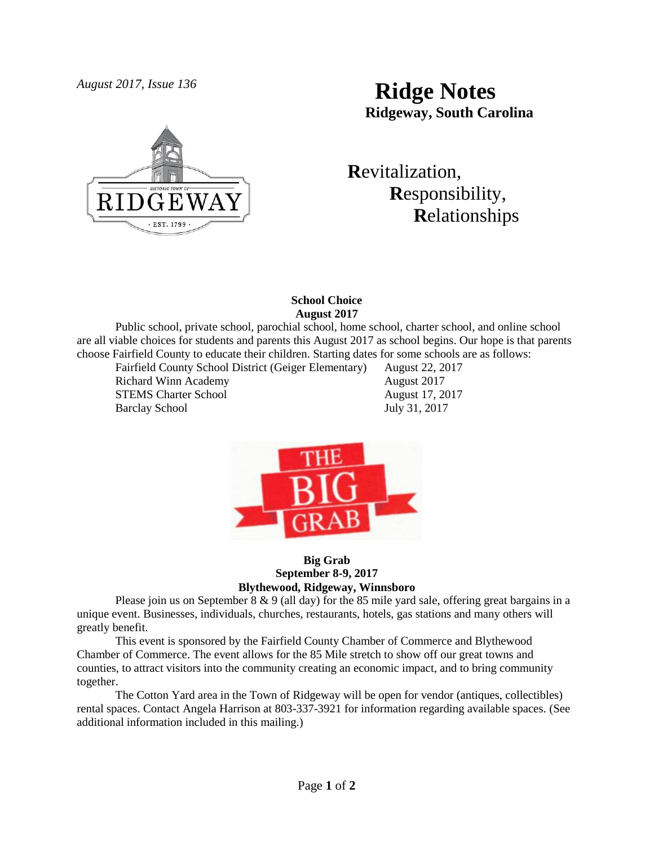

# *August 2017, Issue 136* **Ridge Notes Ridgeway, South Carolina**

 **R**evitalization,  **R**esponsibility,  **R**elationships

# **School Choice August 2017**

Public school, private school, parochial school, home school, charter school, and online school are all viable choices for students and parents this August 2017 as school begins. Our hope is that parents choose Fairfield County to educate their children. Starting dates for some schools are as follows:

Fairfield County School District (Geiger Elementary) August 22, 2017 Richard Winn Academy **August** 2017 STEMS Charter School August 17, 2017 Barclay School July 31, 2017



## **Big Grab September 8-9, 2017 Blythewood, Ridgeway, Winnsboro**

Please join us on September 8  $\&$  9 (all day) for the 85 mile yard sale, offering great bargains in a unique event. Businesses, individuals, churches, restaurants, hotels, gas stations and many others will greatly benefit.

This event is sponsored by the Fairfield County Chamber of Commerce and Blythewood Chamber of Commerce. The event allows for the 85 Mile stretch to show off our great towns and counties, to attract visitors into the community creating an economic impact, and to bring community together.

The Cotton Yard area in the Town of Ridgeway will be open for vendor (antiques, collectibles) rental spaces. Contact Angela Harrison at 803-337-3921 for information regarding available spaces. (See additional information included in this mailing.)